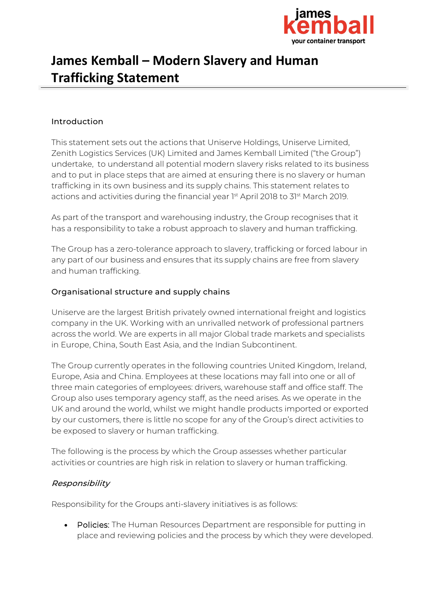

# **James Kemball – Modern Slavery and Human Trafficking Statement**

#### Introduction

This statement sets out the actions that Uniserve Holdings, Uniserve Limited, Zenith Logistics Services (UK) Limited and James Kemball Limited ("the Group") undertake, to understand all potential modern slavery risks related to its business and to put in place steps that are aimed at ensuring there is no slavery or human trafficking in its own business and its supply chains. This statement relates to actions and activities during the financial year 1st April 2018 to 31st March 2019.

As part of the transport and warehousing industry, the Group recognises that it has a responsibility to take a robust approach to slavery and human trafficking.

The Group has a zero-tolerance approach to slavery, trafficking or forced labour in any part of our business and ensures that its supply chains are free from slavery and human trafficking.

#### Organisational structure and supply chains

Uniserve are the largest British privately owned international freight and logistics company in the UK. Working with an unrivalled network of professional partners across the world. We are experts in all major Global trade markets and specialists in Europe, China, South East Asia, and the Indian Subcontinent.

The Group currently operates in the following countries United Kingdom, Ireland, Europe, Asia and China. Employees at these locations may fall into one or all of three main categories of employees: drivers, warehouse staff and office staff. The Group also uses temporary agency staff, as the need arises. As we operate in the UK and around the world, whilst we might handle products imported or exported by our customers, there is little no scope for any of the Group's direct activities to be exposed to slavery or human trafficking.

The following is the process by which the Group assesses whether particular activities or countries are high risk in relation to slavery or human trafficking.

## Responsibility

Responsibility for the Groups anti-slavery initiatives is as follows:

• Policies: The Human Resources Department are responsible for putting in place and reviewing policies and the process by which they were developed.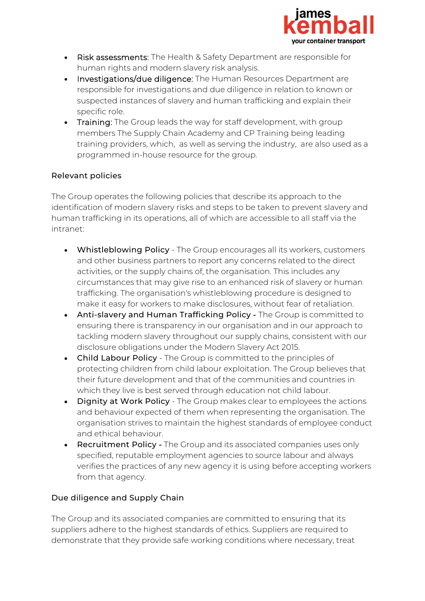

- Risk assessments: The Health & Safety Department are responsible for human rights and modern slavery risk analysis.
- Investigations/due diligence: The Human Resources Department are responsible for investigations and due diligence in relation to known or suspected instances of slavery and human trafficking and explain their specific role.
- Training: The Group leads the way for staff development, with group members The Supply Chain Academy and CP Training being leading training providers, which, as well as serving the industry, are also used as a programmed in-house resource for the group.

## Relevant policies

The Group operates the following policies that describe its approach to the identification of modern slavery risks and steps to be taken to prevent slavery and human trafficking in its operations, all of which are accessible to all staff via the intranet:

- Whistleblowing Policy The Group encourages all its workers, customers and other business partners to report any concerns related to the direct activities, or the supply chains of, the organisation. This includes any circumstances that may give rise to an enhanced risk of slavery or human trafficking. The organisation's whistleblowing procedure is designed to make it easy for workers to make disclosures, without fear of retaliation.
- Anti-slavery and Human Trafficking Policy The Group is committed to ensuring there is transparency in our organisation and in our approach to tackling modern slavery throughout our supply chains, consistent with our disclosure obligations under the Modern Slavery Act 2015.
- Child Labour Policy The Group is committed to the principles of protecting children from child labour exploitation. The Group believes that their future development and that of the communities and countries in which they live is best served through education not child labour.
- Dignity at Work Policy The Group makes clear to employees the actions and behaviour expected of them when representing the organisation. The organisation strives to maintain the highest standards of employee conduct and ethical behaviour.
- Recruitment Policy The Group and its associated companies uses only specified, reputable employment agencies to source labour and always verifies the practices of any new agency it is using before accepting workers from that agency.

## Due diligence and Supply Chain

The Group and its associated companies are committed to ensuring that its suppliers adhere to the highest standards of ethics. Suppliers are required to demonstrate that they provide safe working conditions where necessary, treat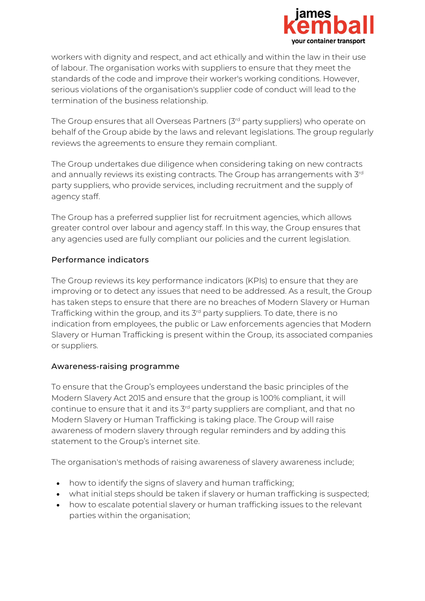

workers with dignity and respect, and act ethically and within the law in their use of labour. The organisation works with suppliers to ensure that they meet the standards of the code and improve their worker's working conditions. However, serious violations of the organisation's supplier code of conduct will lead to the termination of the business relationship.

The Group ensures that all Overseas Partners (3<sup>rd</sup> party suppliers) who operate on behalf of the Group abide by the laws and relevant legislations. The group regularly reviews the agreements to ensure they remain compliant.

The Group undertakes due diligence when considering taking on new contracts and annually reviews its existing contracts. The Group has arrangements with 3rd party suppliers, who provide services, including recruitment and the supply of agency staff.

The Group has a preferred supplier list for recruitment agencies, which allows greater control over labour and agency staff. In this way, the Group ensures that any agencies used are fully compliant our policies and the current legislation.

## Performance indicators

The Group reviews its key performance indicators (KPIs) to ensure that they are improving or to detect any issues that need to be addressed. As a result, the Group has taken steps to ensure that there are no breaches of Modern Slavery or Human Trafficking within the group, and its 3<sup>rd</sup> party suppliers. To date, there is no indication from employees, the public or Law enforcements agencies that Modern Slavery or Human Trafficking is present within the Group, its associated companies or suppliers.

## Awareness-raising programme

To ensure that the Group's employees understand the basic principles of the Modern Slavery Act 2015 and ensure that the group is 100% compliant, it will continue to ensure that it and its 3<sup>rd</sup> party suppliers are compliant, and that no Modern Slavery or Human Trafficking is taking place. The Group will raise awareness of modern slavery through regular reminders and by adding this statement to the Group's internet site.

The organisation's methods of raising awareness of slavery awareness include;

- how to identify the signs of slavery and human trafficking;
- what initial steps should be taken if slavery or human trafficking is suspected;
- how to escalate potential slavery or human trafficking issues to the relevant parties within the organisation;